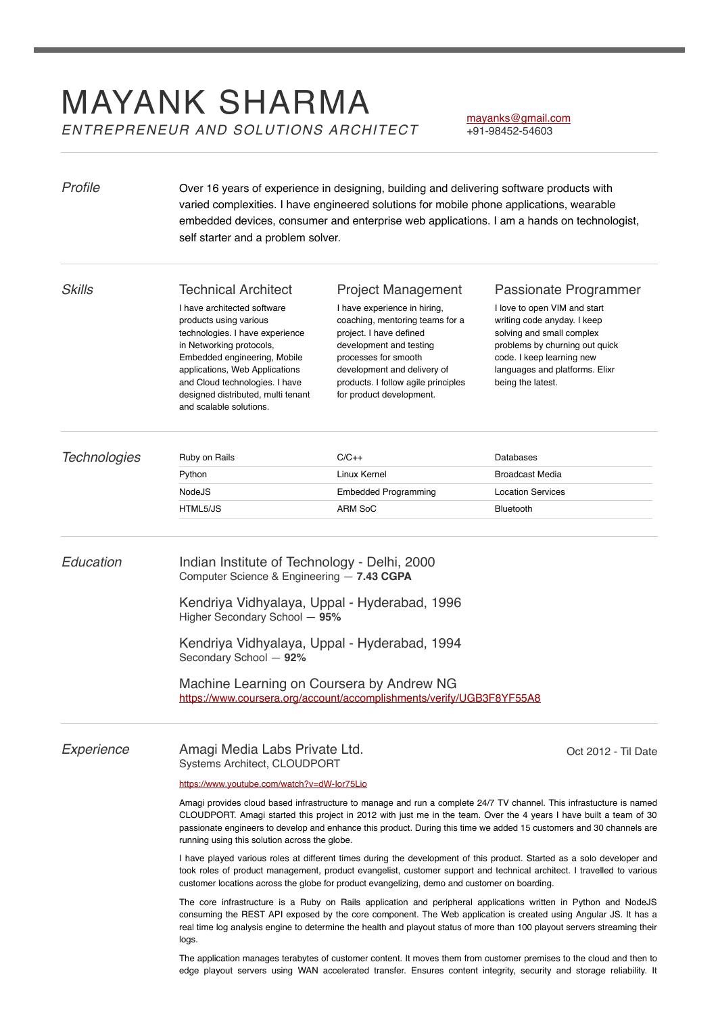# MAYANK SHARMA *ENTREPRENEUR AND SOLUTIONS ARCHITECT*

## [mayanks@gmail.com](mailto:mayanks@gmail.com)

+91-98452-54603

| Profile             | Over 16 years of experience in designing, building and delivering software products with<br>varied complexities. I have engineered solutions for mobile phone applications, wearable<br>embedded devices, consumer and enterprise web applications. I am a hands on technologist,<br>self starter and a problem solver.                                                                                            |                                                                                                                                                                                                                                                                              |                                                                                                                                                                                                                                         |
|---------------------|--------------------------------------------------------------------------------------------------------------------------------------------------------------------------------------------------------------------------------------------------------------------------------------------------------------------------------------------------------------------------------------------------------------------|------------------------------------------------------------------------------------------------------------------------------------------------------------------------------------------------------------------------------------------------------------------------------|-----------------------------------------------------------------------------------------------------------------------------------------------------------------------------------------------------------------------------------------|
| <b>Skills</b>       | <b>Technical Architect</b><br>I have architected software<br>products using various<br>technologies. I have experience<br>in Networking protocols,<br>Embedded engineering, Mobile<br>applications, Web Applications<br>and Cloud technologies. I have<br>designed distributed, multi tenant                                                                                                                       | <b>Project Management</b><br>I have experience in hiring,<br>coaching, mentoring teams for a<br>project. I have defined<br>development and testing<br>processes for smooth<br>development and delivery of<br>products. I follow agile principles<br>for product development. | Passionate Programmer<br>I love to open VIM and start<br>writing code anyday. I keep<br>solving and small complex<br>problems by churning out quick<br>code. I keep learning new<br>languages and platforms. Elixr<br>being the latest. |
|                     | and scalable solutions.                                                                                                                                                                                                                                                                                                                                                                                            |                                                                                                                                                                                                                                                                              |                                                                                                                                                                                                                                         |
| <b>Technologies</b> | Ruby on Rails                                                                                                                                                                                                                                                                                                                                                                                                      | $C/C++$                                                                                                                                                                                                                                                                      | Databases                                                                                                                                                                                                                               |
|                     | Python                                                                                                                                                                                                                                                                                                                                                                                                             | Linux Kernel                                                                                                                                                                                                                                                                 | <b>Broadcast Media</b>                                                                                                                                                                                                                  |
|                     | NodeJS<br>HTML5/JS                                                                                                                                                                                                                                                                                                                                                                                                 | <b>Embedded Programming</b><br>ARM SoC                                                                                                                                                                                                                                       | <b>Location Services</b><br><b>Bluetooth</b>                                                                                                                                                                                            |
| Education           | Indian Institute of Technology - Delhi, 2000<br>Computer Science & Engineering - 7.43 CGPA<br>Kendriya Vidhyalaya, Uppal - Hyderabad, 1996<br>Higher Secondary School - 95%<br>Kendriya Vidhyalaya, Uppal - Hyderabad, 1994<br>Secondary School - 92%<br>Machine Learning on Coursera by Andrew NG<br>https://www.coursera.org/account/accomplishments/verify/UGB3F8YF55A8                                         |                                                                                                                                                                                                                                                                              |                                                                                                                                                                                                                                         |
| Experience          | Amagi Media Labs Private Ltd.<br>Oct 2012 - Til Date<br>Systems Architect, CLOUDPORT                                                                                                                                                                                                                                                                                                                               |                                                                                                                                                                                                                                                                              |                                                                                                                                                                                                                                         |
|                     | https://www.youtube.com/watch?v=dW-lor75Lio                                                                                                                                                                                                                                                                                                                                                                        |                                                                                                                                                                                                                                                                              |                                                                                                                                                                                                                                         |
|                     | Amagi provides cloud based infrastructure to manage and run a complete 24/7 TV channel. This infrastucture is named<br>CLOUDPORT. Amagi started this project in 2012 with just me in the team. Over the 4 years I have built a team of 30<br>passionate engineers to develop and enhance this product. During this time we added 15 customers and 30 channels are<br>running using this solution across the globe. |                                                                                                                                                                                                                                                                              |                                                                                                                                                                                                                                         |
|                     | I have played various roles at different times during the development of this product. Started as a solo developer and<br>took roles of product management, product evangelist, customer support and technical architect. I travelled to various<br>customer locations across the globe for product evangelizing, demo and customer on boarding.                                                                   |                                                                                                                                                                                                                                                                              |                                                                                                                                                                                                                                         |
|                     | The core infrastructure is a Ruby on Rails application and peripheral applications written in Python and NodeJS<br>consuming the REST API exposed by the core component. The Web application is created using Angular JS. It has a<br>real time log analysis engine to determine the health and playout status of more than 100 playout servers streaming their<br>logs.                                           |                                                                                                                                                                                                                                                                              |                                                                                                                                                                                                                                         |
|                     | The application manages terabytes of customer content. It moves them from customer premises to the cloud and then to<br>edge playout servers using WAN accelerated transfer. Ensures content integrity, security and storage reliability. It                                                                                                                                                                       |                                                                                                                                                                                                                                                                              |                                                                                                                                                                                                                                         |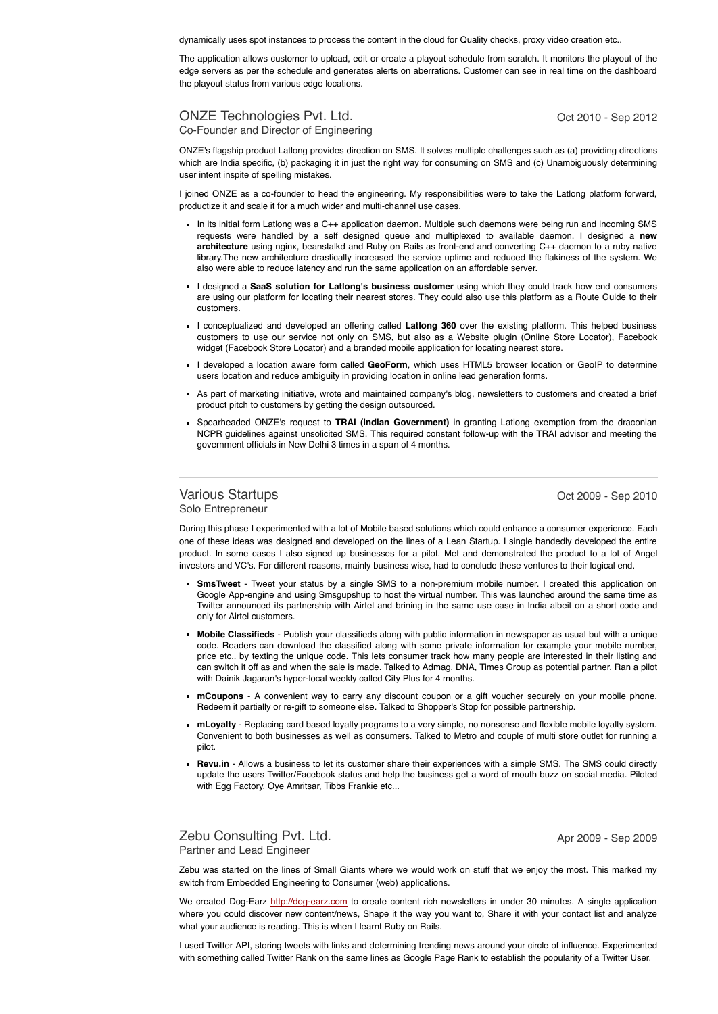dynamically uses spot instances to process the content in the cloud for Quality checks, proxy video creation etc..

The application allows customer to upload, edit or create a playout schedule from scratch. It monitors the playout of the edge servers as per the schedule and generates alerts on aberrations. Customer can see in real time on the dashboard the playout status from various edge locations.

#### ONZE Technologies Pvt. Ltd. Co-Founder and Director of Engineering

Oct 2010 - Sep 2012

ONZE's flagship product Latlong provides direction on SMS. It solves multiple challenges such as (a) providing directions which are India specific, (b) packaging it in just the right way for consuming on SMS and (c) Unambiguously determining user intent inspite of spelling mistakes.

I joined ONZE as a co-founder to head the engineering. My responsibilities were to take the Latlong platform forward, productize it and scale it for a much wider and multi-channel use cases.

- In its initial form Latlong was a C++ application daemon. Multiple such daemons were being run and incoming SMS requests were handled by a self designed queue and multiplexed to available daemon. I designed a **new architecture** using nginx, beanstalkd and Ruby on Rails as front-end and converting C++ daemon to a ruby native library.The new architecture drastically increased the service uptime and reduced the flakiness of the system. We also were able to reduce latency and run the same application on an affordable server.
- I designed a **SaaS solution for Latlong's business customer** using which they could track how end consumers are using our platform for locating their nearest stores. They could also use this platform as a Route Guide to their customers.
- I conceptualized and developed an offering called **Latlong 360** over the existing platform. This helped business customers to use our service not only on SMS, but also as a Website plugin (Online Store Locator), Facebook widget (Facebook Store Locator) and a branded mobile application for locating nearest store.
- I developed a location aware form called GeoForm, which uses HTML5 browser location or GeoIP to determine users location and reduce ambiguity in providing location in online lead generation forms.
- As part of marketing initiative, wrote and maintained company's blog, newsletters to customers and created a brief product pitch to customers by getting the design outsourced.
- Spearheaded ONZE's request to **TRAI (Indian Government)** in granting Latlong exemption from the draconian NCPR guidelines against unsolicited SMS. This required constant follow-up with the TRAI advisor and meeting the government officials in New Delhi 3 times in a span of 4 months.

#### Various Startups Solo Entrepreneur

Oct 2009 - Sep 2010

During this phase I experimented with a lot of Mobile based solutions which could enhance a consumer experience. Each one of these ideas was designed and developed on the lines of a Lean Startup. I single handedly developed the entire product. In some cases I also signed up businesses for a pilot. Met and demonstrated the product to a lot of Angel investors and VC's. For different reasons, mainly business wise, had to conclude these ventures to their logical end.

- **SmsTweet** Tweet your status by a single SMS to a non-premium mobile number. I created this application on Google App-engine and using Smsgupshup to host the virtual number. This was launched around the same time as Twitter announced its partnership with Airtel and brining in the same use case in India albeit on a short code and only for Airtel customers.
- **Mobile Classifieds** Publish your classifieds along with public information in newspaper as usual but with a unique code. Readers can download the classified along with some private information for example your mobile number, price etc.. by texting the unique code. This lets consumer track how many people are interested in their listing and can switch it off as and when the sale is made. Talked to Admag, DNA, Times Group as potential partner. Ran a pilot with Dainik Jagaran's hyper-local weekly called City Plus for 4 months.
- **mCoupons** A convenient way to carry any discount coupon or a gift voucher securely on your mobile phone. Redeem it partially or re-gift to someone else. Talked to Shopper's Stop for possible partnership.
- **mLoyalty** Replacing card based loyalty programs to a very simple, no nonsense and flexible mobile loyalty system. Convenient to both businesses as well as consumers. Talked to Metro and couple of multi store outlet for running a pilot.
- **Revu.in** Allows a business to let its customer share their experiences with a simple SMS. The SMS could directly update the users Twitter/Facebook status and help the business get a word of mouth buzz on social media. Piloted with Egg Factory, Oye Amritsar, Tibbs Frankie etc...

Zebu Consulting Pvt. Ltd. Partner and Lead Engineer

Apr 2009 - Sep 2009

Zebu was started on the lines of Small Giants where we would work on stuff that we enjoy the most. This marked my switch from Embedded Engineering to Consumer (web) applications.

We created Dog-Earz [http://dog-earz.com](http://dog-earz.com/) to create content rich newsletters in under 30 minutes. A single application where you could discover new content/news, Shape it the way you want to, Share it with your contact list and analyze what your audience is reading. This is when I learnt Ruby on Rails.

I used Twitter API, storing tweets with links and determining trending news around your circle of influence. Experimented with something called Twitter Rank on the same lines as Google Page Rank to establish the popularity of a Twitter User.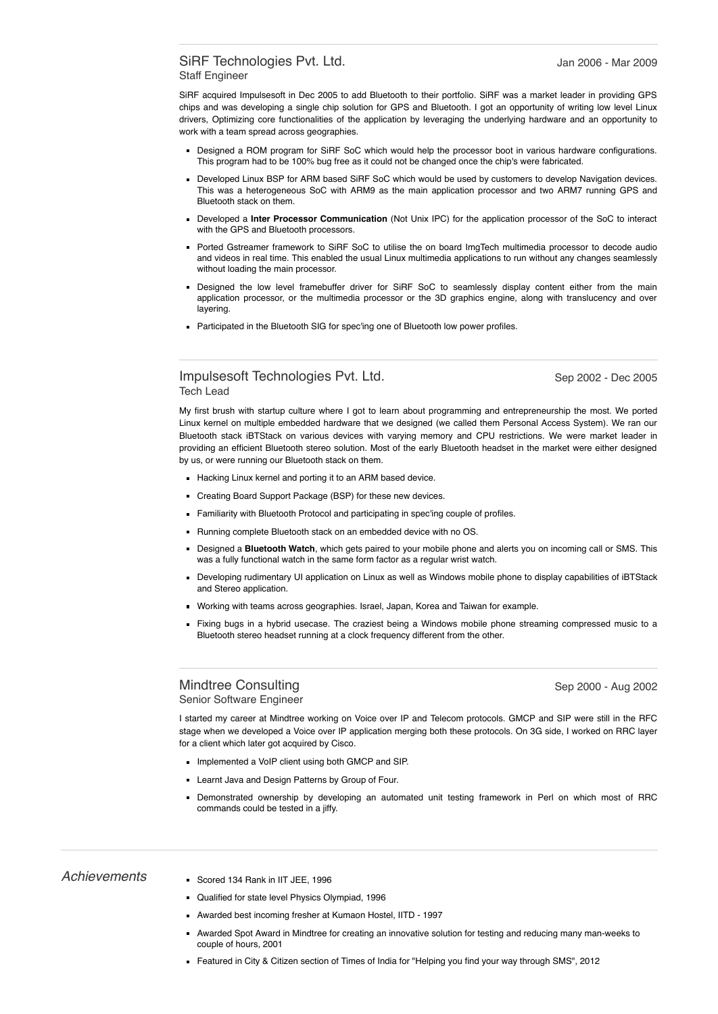#### SiRF Technologies Pvt. Ltd. Staff Engineer

SiRF acquired Impulsesoft in Dec 2005 to add Bluetooth to their portfolio. SiRF was a market leader in providing GPS chips and was developing a single chip solution for GPS and Bluetooth. I got an opportunity of writing low level Linux drivers, Optimizing core functionalities of the application by leveraging the underlying hardware and an opportunity to work with a team spread across geographies.

- Designed a ROM program for SiRF SoC which would help the processor boot in various hardware configurations. This program had to be 100% bug free as it could not be changed once the chip's were fabricated.
- Developed Linux BSP for ARM based SiRF SoC which would be used by customers to develop Navigation devices. This was a heterogeneous SoC with ARM9 as the main application processor and two ARM7 running GPS and Bluetooth stack on them.
- Developed a **Inter Processor Communication** (Not Unix IPC) for the application processor of the SoC to interact with the GPS and Bluetooth processors.
- Ported Gstreamer framework to SiRF SoC to utilise the on board ImgTech multimedia processor to decode audio and videos in real time. This enabled the usual Linux multimedia applications to run without any changes seamlessly without loading the main processor.
- Designed the low level framebuffer driver for SiRF SoC to seamlessly display content either from the main application processor, or the multimedia processor or the 3D graphics engine, along with translucency and over layering.
- **Participated in the Bluetooth SIG for spec'ing one of Bluetooth low power profiles.**

#### Impulsesoft Technologies Pvt. Ltd. Tech Lead

Sep 2002 - Dec 2005

My first brush with startup culture where I got to learn about programming and entrepreneurship the most. We ported Linux kernel on multiple embedded hardware that we designed (we called them Personal Access System). We ran our Bluetooth stack iBTStack on various devices with varying memory and CPU restrictions. We were market leader in providing an efficient Bluetooth stereo solution. Most of the early Bluetooth headset in the market were either designed by us, or were running our Bluetooth stack on them.

- Hacking Linux kernel and porting it to an ARM based device.
- Creating Board Support Package (BSP) for these new devices.
- Familiarity with Bluetooth Protocol and participating in spec'ing couple of profiles.
- Running complete Bluetooth stack on an embedded device with no OS.
- Designed a **Bluetooth Watch**, which gets paired to your mobile phone and alerts you on incoming call or SMS. This was a fully functional watch in the same form factor as a regular wrist watch.
- Developing rudimentary UI application on Linux as well as Windows mobile phone to display capabilities of iBTStack and Stereo application.
- Working with teams across geographies. Israel, Japan, Korea and Taiwan for example.
- Fixing bugs in a hybrid usecase. The craziest being a Windows mobile phone streaming compressed music to a Bluetooth stereo headset running at a clock frequency different from the other.

#### Mindtree Consulting Senior Software Engineer

Sep 2000 - Aug 2002

I started my career at Mindtree working on Voice over IP and Telecom protocols. GMCP and SIP were still in the RFC stage when we developed a Voice over IP application merging both these protocols. On 3G side, I worked on RRC layer for a client which later got acquired by Cisco.

- Implemented a VoIP client using both GMCP and SIP.
- **Learnt Java and Design Patterns by Group of Four.**
- Demonstrated ownership by developing an automated unit testing framework in Perl on which most of RRC commands could be tested in a jiffy.

- Achievements Scored 134 Rank in IIT JEE, 1996
	- Qualified for state level Physics Olympiad, 1996
	- Awarded best incoming fresher at Kumaon Hostel, IITD 1997
	- Awarded Spot Award in Mindtree for creating an innovative solution for testing and reducing many man-weeks to couple of hours, 2001
	- Featured in City & Citizen section of Times of India for "Helping you find your way through SMS", 2012